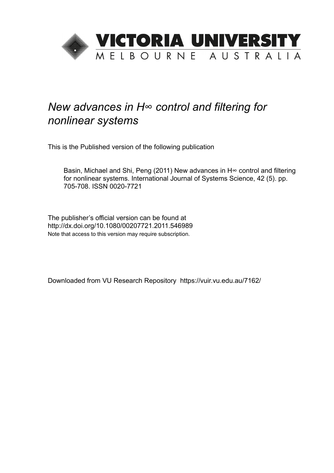

## *New advances in H∞ control and filtering for nonlinear systems*

This is the Published version of the following publication

Basin, Michael and Shi, Peng (2011) New advances in H∞ control and filtering for nonlinear systems. International Journal of Systems Science, 42 (5). pp. 705-708. ISSN 0020-7721

The publisher's official version can be found at http://dx.doi.org/10.1080/00207721.2011.546989 Note that access to this version may require subscription.

Downloaded from VU Research Repository https://vuir.vu.edu.au/7162/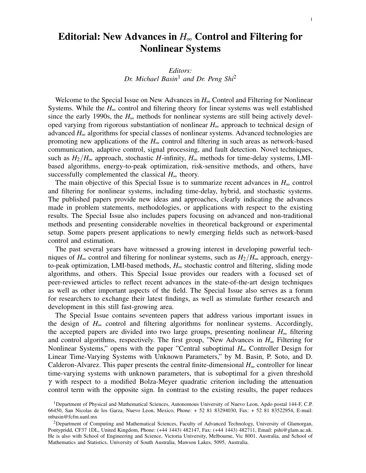## Editorial: New Advances in *H*∞ Control and Filtering for Nonlinear Systems

## *Editors: Dr. Michael Basin*<sup>1</sup> *and Dr. Peng Shi*<sup>2</sup>

Welcome to the Special Issue on New Advances in *H*∞ Control and Filtering for Nonlinear Systems. While the  $H_{\infty}$  control and filtering theory for linear systems was well established since the early 1990s, the  $H_{\infty}$  methods for nonlinear systems are still being actively developed varying from rigorous substantiation of nonlinear *H*∞ approach to technical design of advanced *H*∞ algorithms for special classes of nonlinear systems. Advanced technologies are promoting new applications of the *H*∞ control and filtering in such areas as network-based communication, adaptive control, signal processing, and fault detection. Novel techniques, such as  $H_2/H_\infty$  approach, stochastic *H*-infinity,  $H_\infty$  methods for time-delay systems, LMIbased algorithms, energy-to-peak optimization, risk-sensitive methods, and others, have successfully complemented the classical  $H_{\infty}$  theory.

The main objective of this Special Issue is to summarize recent advances in  $H_{\infty}$  control and filtering for nonlinear systems, including time-delay, hybrid, and stochastic systems. The published papers provide new ideas and approaches, clearly indicating the advances made in problem statements, methodologies, or applications with respect to the existing results. The Special Issue also includes papers focusing on advanced and non-traditional methods and presenting considerable novelties in theoretical background or experimental setup. Some papers present applications to newly emerging fields such as network-based control and estimation.

The past several years have witnessed a growing interest in developing powerful techniques of  $H_{\infty}$  control and filtering for nonlinear systems, such as  $H_2/H_{\infty}$  approach, energyto-peak optimization, LMI-based methods, *H*∞ stochastic control and filtering, sliding mode algorithms, and others. This Special Issue provides our readers with a focused set of peer-reviewed articles to reflect recent advances in the state-of-the-art design techniques as well as other important aspects of the field. The Special Issue also serves as a forum for researchers to exchange their latest findings, as well as stimulate further research and development in this still fast-growing area.

The Special Issue contains seventeen papers that address various important issues in the design of  $H_{\infty}$  control and filtering algorithms for nonlinear systems. Accordingly, the accepted papers are divided into two large groups, presenting nonlinear *H*∞ filtering and control algorithms, respectively. The first group, "New Advances in *H*∞ Filtering for Nonlinear Systems," opens with the paper "Central suboptimal *H*∞ Controller Design for Linear Time-Varying Systems with Unknown Parameters," by M. Basin, P. Soto, and D. Calderon-Alvarez. This paper presents the central finite-dimensional  $H_{\infty}$  controller for linear time-varying systems with unknown parameters, that is suboptimal for a given threshold  $\gamma$  with respect to a modified Bolza-Meyer quadratic criterion including the attenuation control term with the opposite sign. In contrast to the existing results, the paper reduces

<sup>&</sup>lt;sup>1</sup>Department of Physical and Mathematical Sciences, Autonomous University of Nuevo Leon, Apdo postal 144-F, C.P. 66450, San Nicolas de los Garza, Nuevo Leon, Mexico, Phone: + 52 81 83294030, Fax: + 52 81 83522954, E-mail: mbasin@fcfm.uanl.mx

<sup>2</sup>Department of Computing and Mathematical Sciences, Faculty of Advanced Technology, University of Glamorgan, Pontypridd, CF37 1DL, United Kingdom, Phone: (+44 1443) 482147, Fax: (+44 1443) 482711, Email: pshi@glam.ac.uk. He is also with School of Engineering and Science, Victoria University, Melbourne, Vic 8001, Australia, and School of Mathematics and Statistics, University of South Australia, Mawson Lakes, 5095, Australia.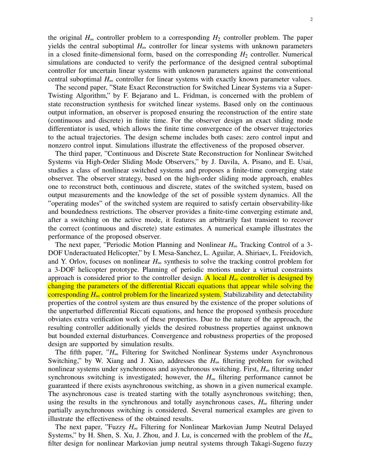the original  $H_{\infty}$  controller problem to a corresponding  $H_2$  controller problem. The paper yields the central suboptimal  $H_{\infty}$  controller for linear systems with unknown parameters in a closed finite-dimensional form, based on the corresponding  $H_2$  controller. Numerical simulations are conducted to verify the performance of the designed central suboptimal controller for uncertain linear systems with unknown parameters against the conventional central suboptimal  $H_{\infty}$  controller for linear systems with exactly known parameter values.

The second paper, "State Exact Reconstruction for Switched Linear Systems via a Super-Twisting Algorithm," by F. Bejarano and L. Fridman, is concerned with the problem of state reconstruction synthesis for switched linear systems. Based only on the continuous output information, an observer is proposed ensuring the reconstruction of the entire state (continuous and discrete) in finite time. For the observer design an exact sliding mode differentiator is used, which allows the finite time convergence of the observer trajectories to the actual trajectories. The design scheme includes both cases: zero control input and nonzero control input. Simulations illustrate the effectiveness of the proposed observer.

The third paper, "Continuous and Discrete State Reconstruction for Nonlinear Switched Systems via High-Order Sliding Mode Observers," by J. Davila, A. Pisano, and E. Usai, studies a class of nonlinear switched systems and proposes a finite-time converging state observer. The observer strategy, based on the high-order sliding mode approach, enables one to reconstruct both, continuous and discrete, states of the switched system, based on output measurements and the knowledge of the set of possible system dynamics. All the "operating modes" of the switched system are required to satisfy certain observability-like and boundedness restrictions. The observer provides a finite-time converging estimate and, after a switching on the active mode, it features an arbitrarily fast transient to recover the correct (continuous and discrete) state estimates. A numerical example illustrates the performance of the proposed observer.

The next paper, "Periodic Motion Planning and Nonlinear *H*∞ Tracking Control of a 3- DOF Underactuated Helicopter," by I. Mesa-Sanchez, L. Aguilar, A. Shiriaev, L. Freidovich, and Y. Orlov, focuses on nonlinear  $H_{\infty}$  synthesis to solve the tracking control problem for a 3-DOF helicopter prototype. Planning of periodic motions under a virtual constraints approach is considered prior to the controller design. A local *H*∞ controller is designed by changing the parameters of the differential Riccati equations that appear while solving the corresponding *H*∞ control problem for the linearized system. Stabilizability and detectability properties of the control system are thus ensured by the existence of the proper solutions of the unperturbed differential Riccati equations, and hence the proposed synthesis procedure obviates extra verification work of these properties. Due to the nature of the approach, the resulting controller additionally yields the desired robustness properties against unknown but bounded external disturbances. Convergence and robustness properties of the proposed design are supported by simulation results.

The fifth paper, "*H*∞ Filtering for Switched Nonlinear Systems under Asynchronous Switching," by W. Xiang and J. Xiao, addresses the  $H<sub>∞</sub>$  filtering problem for switched nonlinear systems under synchronous and asynchronous switching. First, *H*∞ filtering under synchronous switching is investigated; however, the  $H<sub>∞</sub>$  filtering performance cannot be guaranteed if there exists asynchronous switching, as shown in a given numerical example. The asynchronous case is treated starting with the totally asynchronous switching; then, using the results in the synchronous and totally asynchronous cases,  $H_{\infty}$  filtering under partially asynchronous switching is considered. Several numerical examples are given to illustrate the effectiveness of the obtained results.

The next paper, "Fuzzy *H*∞ Filtering for Nonlinear Markovian Jump Neutral Delayed Systems," by H. Shen, S. Xu, J. Zhou, and J. Lu, is concerned with the problem of the *H*∞ filter design for nonlinear Markovian jump neutral systems through Takagi-Sugeno fuzzy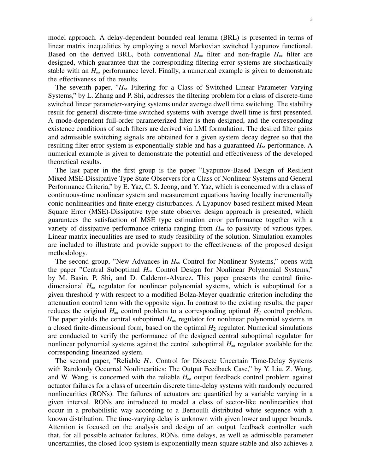model approach. A delay-dependent bounded real lemma (BRL) is presented in terms of linear matrix inequalities by employing a novel Markovian switched Lyapunov functional. Based on the derived BRL, both conventional  $H_{\infty}$  filter and non-fragile  $H_{\infty}$  filter are designed, which guarantee that the corresponding filtering error systems are stochastically stable with an  $H_{\infty}$  performance level. Finally, a numerical example is given to demonstrate the effectiveness of the results.

The seventh paper, "*H*∞ Filtering for a Class of Switched Linear Parameter Varying Systems," by L. Zhang and P. Shi, addresses the filtering problem for a class of discrete-time switched linear parameter-varying systems under average dwell time switching. The stability result for general discrete-time switched systems with average dwell time is first presented. A mode-dependent full-order parameterized filter is then designed, and the corresponding existence conditions of such filters are derived via LMI formulation. The desired filter gains and admissible switching signals are obtained for a given system decay degree so that the resulting filter error system is exponentially stable and has a guaranteed *H*∞ performance. A numerical example is given to demonstrate the potential and effectiveness of the developed theoretical results.

The last paper in the first group is the paper "Lyapunov-Based Design of Resilient Mixed MSE-Dissipative Type State Observers for a Class of Nonlinear Systems and General Performance Criteria," by E. Yaz, C. S. Jeong, and Y. Yaz, which is concerned with a class of continuous-time nonlinear system and measurement equations having locally incrementally conic nonlinearities and finite energy disturbances. A Lyapunov-based resilient mixed Mean Square Error (MSE)-Dissipative type state observer design approach is presented, which guarantees the satisfaction of MSE type estimation error performance together with a variety of dissipative performance criteria ranging from *H*∞ to passivity of various types. Linear matrix inequalities are used to study feasibility of the solution. Simulation examples are included to illustrate and provide support to the effectiveness of the proposed design methodology.

The second group, "New Advances in  $H_{\infty}$  Control for Nonlinear Systems," opens with the paper "Central Suboptimal *H*∞ Control Design for Nonlinear Polynomial Systems," by M. Basin, P. Shi, and D. Calderon-Alvarez. This paper presents the central finitedimensional *H*∞ regulator for nonlinear polynomial systems, which is suboptimal for a given threshold  $\gamma$  with respect to a modified Bolza-Meyer quadratic criterion including the attenuation control term with the opposite sign. In contrast to the existing results, the paper reduces the original  $H_{\infty}$  control problem to a corresponding optimal  $H_2$  control problem. The paper yields the central suboptimal  $H_{\infty}$  regulator for nonlinear polynomial systems in a closed finite-dimensional form, based on the optimal  $H_2$  regulator. Numerical simulations are conducted to verify the performance of the designed central suboptimal regulator for nonlinear polynomial systems against the central suboptimal  $H_{\infty}$  regulator available for the corresponding linearized system.

The second paper, "Reliable *H*∞ Control for Discrete Uncertain Time-Delay Systems with Randomly Occurred Nonlinearities: The Output Feedback Case," by Y. Liu, Z. Wang, and W. Wang, is concerned with the reliable  $H_{\infty}$  output feedback control problem against actuator failures for a class of uncertain discrete time-delay systems with randomly occurred nonlinearities (RONs). The failures of actuators are quantified by a variable varying in a given interval. RONs are introduced to model a class of sector-like nonlinearities that occur in a probabilistic way according to a Bernoulli distributed white sequence with a known distribution. The time-varying delay is unknown with given lower and upper bounds. Attention is focused on the analysis and design of an output feedback controller such that, for all possible actuator failures, RONs, time delays, as well as admissible parameter uncertainties, the closed-loop system is exponentially mean-square stable and also achieves a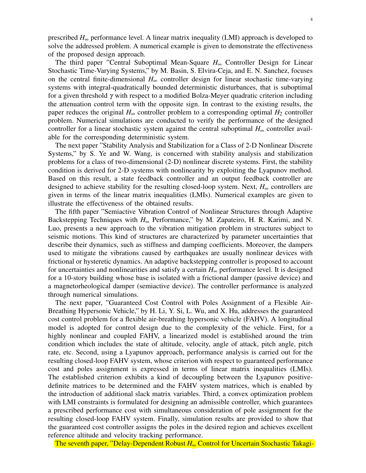prescribed *H*∞ performance level. A linear matrix inequality (LMI) approach is developed to solve the addressed problem. A numerical example is given to demonstrate the effectiveness of the proposed design approach.

The third paper "Central Suboptimal Mean-Square *H*∞ Controller Design for Linear Stochastic Time-Varying Systems," by M. Basin, S. Elvira-Ceja, and E. N. Sanchez, focuses on the central finite-dimensional *H*∞ controller design for linear stochastic time-varying systems with integral-quadratically bounded deterministic disturbances, that is suboptimal for a given threshold  $\gamma$  with respect to a modified Bolza-Meyer quadratic criterion including the attenuation control term with the opposite sign. In contrast to the existing results, the paper reduces the original  $H_{\infty}$  controller problem to a corresponding optimal  $H_2$  controller problem. Numerical simulations are conducted to verify the performance of the designed controller for a linear stochastic system against the central suboptimal  $H_{\infty}$  controller available for the corresponding deterministic system.

The next paper "Stability Analysis and Stabilization for a Class of 2-D Nonlinear Discrete Systems," by S. Ye and W. Wang, is concerned with stability analysis and stabilization problems for a class of two-dimensional (2-D) nonlinear discrete systems. First, the stability condition is derived for 2-D systems with nonlinearity by exploiting the Lyapunov method. Based on this result, a state feedback controller and an output feedback controller are designed to achieve stability for the resulting closed-loop system. Next, *H*∞ controllers are given in terms of the linear matrix inequalities (LMIs). Numerical examples are given to illustrate the effectiveness of the obtained results.

The fifth paper "Semiactive Vibration Control of Nonlinear Structures through Adaptive Backstepping Techniques with *H*∞ Performance," by M. Zapateiro, H. R. Karimi, and N. Luo, presents a new approach to the vibration mitigation problem in structures subject to seismic motions. This kind of structures are characterized by parameter uncertainties that describe their dynamics, such as stiffness and damping coefficients. Moreover, the dampers used to mitigate the vibrations caused by earthquakes are usually nonlinear devices with frictional or hysteretic dynamics. An adaptive backstepping controller is proposed to account for uncertainties and nonlinearities and satisfy a certain  $H_{\infty}$  performance level. It is designed for a 10-story building whose base is isolated with a frictional damper (passive device) and a magnetorheological damper (semiactive device). The controller performance is analyzed through numerical simulations.

The next paper, "Guaranteed Cost Control with Poles Assignment of a Flexible Air-Breathing Hypersonic Vehicle," by H. Li, Y. Si, L. Wu, and X. Hu, addresses the guaranteed cost control problem for a flexible air-breathing hypersonic vehicle (FAHV). A longitudinal model is adopted for control design due to the complexity of the vehicle. First, for a highly nonlinear and coupled FAHV, a linearized model is established around the trim condition which includes the state of altitude, velocity, angle of attack, pitch angle, pitch rate, etc. Second, using a Lyapunov approach, performance analysis is carried out for the resulting closed-loop FAHV system, whose criterion with respect to guaranteed performance cost and poles assignment is expressed in terms of linear matrix inequalities (LMIs). The established criterion exhibits a kind of decoupling between the Lyapunov positivedefinite matrices to be determined and the FAHV system matrices, which is enabled by the introduction of additional slack matrix variables. Third, a convex optimization problem with LMI constraints is formulated for designing an admissible controller, which guarantees a prescribed performance cost with simultaneous consideration of pole assignment for the resulting closed-loop FAHV system. Finally, simulation results are provided to show that the guaranteed cost controller assigns the poles in the desired region and achieves excellent reference altitude and velocity tracking performance.

The seventh paper, "Delay-Dependent Robust *H*∞ Control for Uncertain Stochastic Takagi-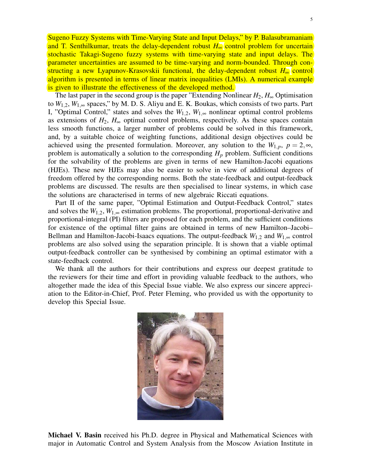Sugeno Fuzzy Systems with Time-Varying State and Input Delays," by P. Balasubramaniam and T. Senthilkumar, treats the delay-dependent robust *H*∞ control problem for uncertain stochastic Takagi-Sugeno fuzzy systems with time-varying state and input delays. The parameter uncertainties are assumed to be time-varying and norm-bounded. Through constructing a new Lyapunov-Krasovskii functional, the delay-dependent robust *H*∞ control algorithm is presented in terms of linear matrix inequalities (LMIs). A numerical example is given to illustrate the effectiveness of the developed method.

The last paper in the second group is the paper "Extending Nonlinear  $H_2$ ,  $H_\infty$  Optimisation to  $W_{1,2}$ ,  $W_{1,\infty}$  spaces," by M. D. S. Aliyu and E. K. Boukas, which consists of two parts. Part I, "Optimal Control," states and solves the  $W_{1,2}$ ,  $W_{1,\infty}$  nonlinear optimal control problems as extensions of  $H_2$ ,  $H_\infty$  optimal control problems, respectively. As these spaces contain less smooth functions, a larger number of problems could be solved in this framework, and, by a suitable choice of weighting functions, additional design objectives could be achieved using the presented formulation. Moreover, any solution to the  $W_{1,p}$ ,  $p = 2, \infty$ , problem is automatically a solution to the corresponding *H<sup>p</sup>* problem. Sufficient conditions for the solvability of the problems are given in terms of new Hamilton-Jacobi equations (HJEs). These new HJEs may also be easier to solve in view of additional degrees of freedom offered by the corresponding norms. Both the state-feedback and output-feedback problems are discussed. The results are then specialised to linear systems, in which case the solutions are characterised in terms of new algebraic Riccati equations.

Part II of the same paper, "Optimal Estimation and Output-Feedback Control," states and solves the  $W_{1,2}$ ,  $W_{1,\infty}$  estimation problems. The proportional, proportional-derivative and proportional-integral (PI) filters are proposed for each problem, and the sufficient conditions for existence of the optimal filter gains are obtained in terms of new Hamilton–Jacobi– Bellman and Hamilton-Jacobi-Isaacs equations. The output-feedback  $W_{1,2}$  and  $W_{1,\infty}$  control problems are also solved using the separation principle. It is shown that a viable optimal output-feedback controller can be synthesised by combining an optimal estimator with a state-feedback control.

We thank all the authors for their contributions and express our deepest gratitude to the reviewers for their time and effort in providing valuable feedback to the authors, who altogether made the idea of this Special Issue viable. We also express our sincere appreciation to the Editor-in-Chief, Prof. Peter Fleming, who provided us with the opportunity to develop this Special Issue.



Michael V. Basin received his Ph.D. degree in Physical and Mathematical Sciences with major in Automatic Control and System Analysis from the Moscow Aviation Institute in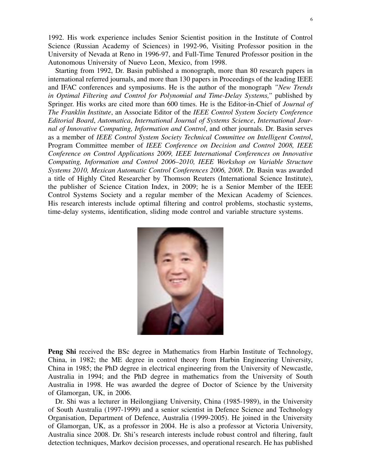1992. His work experience includes Senior Scientist position in the Institute of Control Science (Russian Academy of Sciences) in 1992-96, Visiting Professor position in the University of Nevada at Reno in 1996-97, and Full-Time Tenured Professor position in the Autonomous University of Nuevo Leon, Mexico, from 1998.

Starting from 1992, Dr. Basin published a monograph, more than 80 research papers in international referred journals, and more than 130 papers in Proceedings of the leading IEEE and IFAC conferences and symposiums. He is the author of the monograph *"New Trends in Optimal Filtering and Control for Polynomial and Time-Delay Systems,"* published by Springer. His works are cited more than 600 times. He is the Editor-in-Chief of *Journal of The Franklin Institute*, an Associate Editor of the *IEEE Control System Society Conference Editorial Board*, *Automatica*, *International Journal of Systems Science*, *International Journal of Innovative Computing, Information and Control*, and other journals. Dr. Basin serves as a member of *IEEE Control System Society Technical Committee on Intelligent Control*, Program Committee member of *IEEE Conference on Decision and Control 2008, IEEE Conference on Control Applications 2009, IEEE International Conferences on Innovative Computing, Information and Control 2006–2010, IEEE Workshop on Variable Structure Systems 2010, Mexican Automatic Control Conferences 2006, 2008*. Dr. Basin was awarded a title of Highly Cited Researcher by Thomson Reuters (International Science Institute), the publisher of Science Citation Index, in 2009; he is a Senior Member of the IEEE Control Systems Society and a regular member of the Mexican Academy of Sciences. His research interests include optimal filtering and control problems, stochastic systems, time-delay systems, identification, sliding mode control and variable structure systems.



Peng Shi received the BSc degree in Mathematics from Harbin Institute of Technology, China, in 1982; the ME degree in control theory from Harbin Engineering University, China in 1985; the PhD degree in electrical engineering from the University of Newcastle, Australia in 1994; and the PhD degree in mathematics from the University of South Australia in 1998. He was awarded the degree of Doctor of Science by the University of Glamorgan, UK, in 2006.

Dr. Shi was a lecturer in Heilongjiang University, China (1985-1989), in the University of South Australia (1997-1999) and a senior scientist in Defence Science and Technology Organisation, Department of Defence, Australia (1999-2005). He joined in the University of Glamorgan, UK, as a professor in 2004. He is also a professor at Victoria University, Australia since 2008. Dr. Shi's research interests include robust control and filtering, fault detection techniques, Markov decision processes, and operational research. He has published